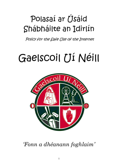# Polasaí ar Úsáid Shábháilte an Idirlín

Policy for the Safe Use of the Internet

# Gaelscoil Uí Néill



*'Fonn a dhéanann foghlaim'*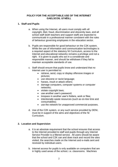# **POLICY FOR THE ACCEPTABLE USE OF THE INTERNET GAELSCOIL UÍ NÉILL**

# **1. Staff and Pupils**

- a. When using the Internet, all users must comply with all copyright, libel, fraud, discrimination and obscenity laws, and all school staff (both teachers and support staff) are expected to communicate in a professional manner consistent with the rules of behaviour governing employees in the education sector.
- b. Pupils are responsible for good behaviour on the C2K system. While the use of information and communication technologies is a required aspect of the statutory NI Curriculum, access to the Internet and educational networks remains a privilege and not a right. It is given to pupils who act in a considerate and responsible manner, and should be withdrawn if they fail to maintain acceptable standards of use.
- c. Staff should ensure that pupils know and understand that no Internet user is permitted to:
	- retrieve, send, copy or display offensive images or pictures;
	- use obscene or racist language;
	- harass, insult or attack others;
	- damage computers, computer systems or computer networks;
	- violate copyright laws:
	- use another user's password;
	- trespass in another user's folders, work or files;
	- intentionally waste resources (such as on-line time and consumables);
	- use the network for unapproved commercial purposes.
- d. Use of the C2K system, or any such service provided by DENI, must be in support of the aims and objectives of the NI Curriculum.

# **2. Location and Supervision**

- a. It is an absolute requirement that the school ensures that access to the Internet provided to staff and pupils through any Internet Service Provider is a filtered service. All users should be aware that the school and C2K can and does track and record the sites visited, the searches made on the Internet and e-mails sent and received by individual users.
- b. Internet access for pupils is only available on computers that are in highly used areas of the school, i.e. classrooms. Machines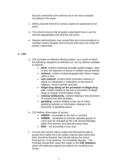that are connected to the Internet are in full view of people circulating in the areas.

- c. While using the Internet at school, pupils are supervised at all times.
- d. The school ensures that all pupils understand how to use the Internet appropriately and why the rule exists.
- e. Network administrators may review files and communications to maintain system integrity and to ensure that users are using the system responsibly.

# **3. C2K**

- a. C2K provides an effective filtering system, as a result of which the following categories of websites are not, by default, available to schools:
	- **adult**: content containing sexually explicit images, video or text, the depiction of actual or realistic sexual activity;
	- **violence**: content containing graphically violent images, video or text;
	- **hate material**: content which promotes violence or attack on individuals or institutions on the basis of religious, racial or gender grounds;
	- **illegal drug taking an the promotion of illegal drug use**: content relating to the use or promotion of illegal drugs or misuse of prescription drugs;
	- **criminal skill/activity**: content relating to the promotion of criminal and other activities;
	- **gambling**: content relating to the use of online gambling websites or information relating to the promotion of gambling advice.
- b. C2K defines three types of access:
	- **GREEN** accessible to all users in schools;
	- **AMBER** accessible to schools' selected groups of users (can be changed by the C2K School Manager within Post-primary and Special school only);
	- **RED** not accessible to any user.
- c. If at any time school staff or pupils find themselves able to access from within the C2K system internet sites which they think should be blocked, they should advise the school Principal (or, in his absence, his immediate deputy). The Principal should then report the matter to the **C2K Helpdesk** which will implement agreed procedures for handling such issues.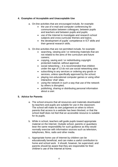# **4. Examples of Acceptable and Unacceptable Use**

- a. On-line activities that are encouraged include, for example:
	- the use of e-mail and computer conferencing for communication between colleagues, between pupils and teachers and between pupils and pupils;
	- use of the Internet to investigate and research school subjects and cross-curricular themes and topics;
	- the development of pupils' competence in ICT skills and their general research skills.
- b. On-line activities that are not permitted include, for example:
	- searching, viewing and / or retrieving materials that are not related to the aims of the curriculum and future careers;
	- copying, saving and / or redistributing copyright protected material, without approval;
	- social networking it is recommended that children under the age of 13 do not use social networking sites
	- subscribing to any services or ordering any goods or services, unless specifically approved by the school;
	- playing non-educational computer games or using other interactive 'chat' sites;
	- using the network in such a way that use of the network by others is disrupted;
	- publishing, sharing or distributing personal information about a user.

# **5. Advice for Parents**

- a. The school ensures that all resources and materials downloaded by teachers and pupils are suitable for use in the classroom. The school will make its own judgement on when to inform parents that access to a website has been blocked, or that the school itself does not feel that an accessible resource is suitable for its pupils.
- b. While in school, teachers will guide pupils toward appropriate material on the Internet. Outside school, parents or guardians bear the same responsibility for such guidance as they would normally exercise with information sources such as television, telephones, films, radio and other media.
- c. Appropriate home use of Internet by children can be educationally beneficial, and can make a useful contribution to home and school work. It should, however, be supervised, and parents should be aware that they are responsible for their children's use of the Internet at home.